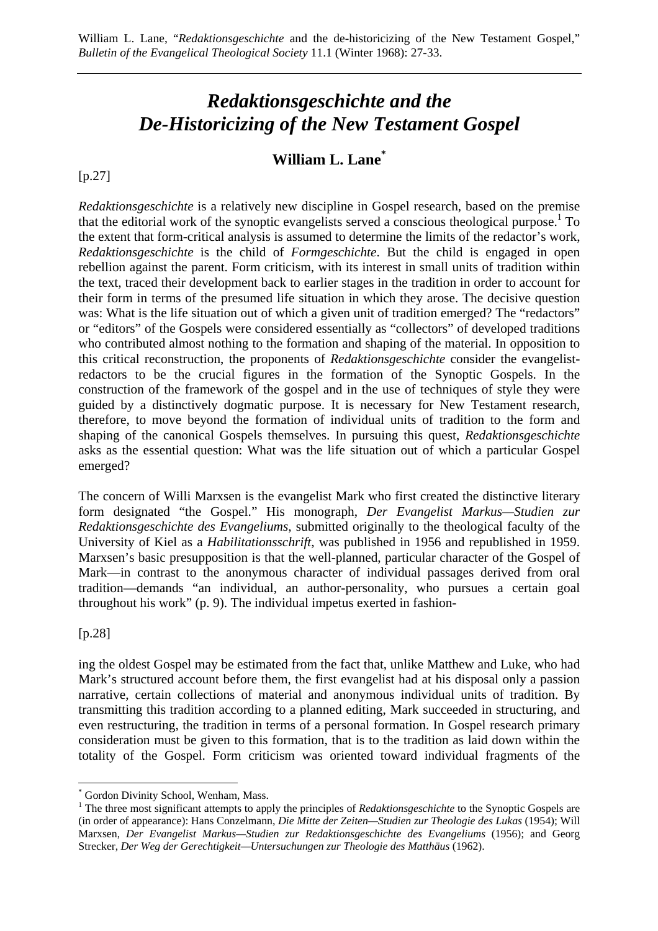## *Redaktionsgeschichte and the De-Historicizing of the New Testament Gospel*

## **William L. Lane\***

[p.27]

*Redaktionsgeschichte* is a relatively new discipline in Gospel research, based on the premise that the editorial work of the synoptic evangelists served a conscious theological purpose.<sup>1</sup> To the extent that form-critical analysis is assumed to determine the limits of the redactor's work, *Redaktionsgeschichte* is the child of *Formgeschichte*. But the child is engaged in open rebellion against the parent. Form criticism, with its interest in small units of tradition within the text, traced their development back to earlier stages in the tradition in order to account for their form in terms of the presumed life situation in which they arose. The decisive question was: What is the life situation out of which a given unit of tradition emerged? The "redactors" or "editors" of the Gospels were considered essentially as "collectors" of developed traditions who contributed almost nothing to the formation and shaping of the material. In opposition to this critical reconstruction, the proponents of *Redaktionsgeschichte* consider the evangelistredactors to be the crucial figures in the formation of the Synoptic Gospels. In the construction of the framework of the gospel and in the use of techniques of style they were guided by a distinctively dogmatic purpose. It is necessary for New Testament research, therefore, to move beyond the formation of individual units of tradition to the form and shaping of the canonical Gospels themselves. In pursuing this quest, *Redaktionsgeschichte* asks as the essential question: What was the life situation out of which a particular Gospel emerged?

The concern of Willi Marxsen is the evangelist Mark who first created the distinctive literary form designated "the Gospel." His monograph, *Der Evangelist Markus—Studien zur Redaktionsgeschichte des Evangeliums*, submitted originally to the theological faculty of the University of Kiel as a *Habilitationsschrift*, was published in 1956 and republished in 1959. Marxsen's basic presupposition is that the well-planned, particular character of the Gospel of Mark—in contrast to the anonymous character of individual passages derived from oral tradition—demands "an individual, an author-personality, who pursues a certain goal throughout his work" (p. 9). The individual impetus exerted in fashion-

[p.28]

 $\overline{a}$ 

ing the oldest Gospel may be estimated from the fact that, unlike Matthew and Luke, who had Mark's structured account before them, the first evangelist had at his disposal only a passion narrative, certain collections of material and anonymous individual units of tradition. By transmitting this tradition according to a planned editing, Mark succeeded in structuring, and even restructuring, the tradition in terms of a personal formation. In Gospel research primary consideration must be given to this formation, that is to the tradition as laid down within the totality of the Gospel. Form criticism was oriented toward individual fragments of the

<sup>\*</sup> Gordon Divinity School, Wenham, Mass.

<sup>&</sup>lt;sup>1</sup> The three most significant attempts to apply the principles of *Redaktionsgeschichte* to the Synoptic Gospels are (in order of appearance): Hans Conzelmann, *Die Mitte der Zeiten—Studien zur Theologie des Lukas* (1954); Will Marxsen, *Der Evangelist Markus—Studien zur Redaktionsgeschichte des Evangeliums* (1956); and Georg Strecker, *Der Weg der Gerechtigkeit—Untersuchungen zur Theologie des Matthäus* (1962).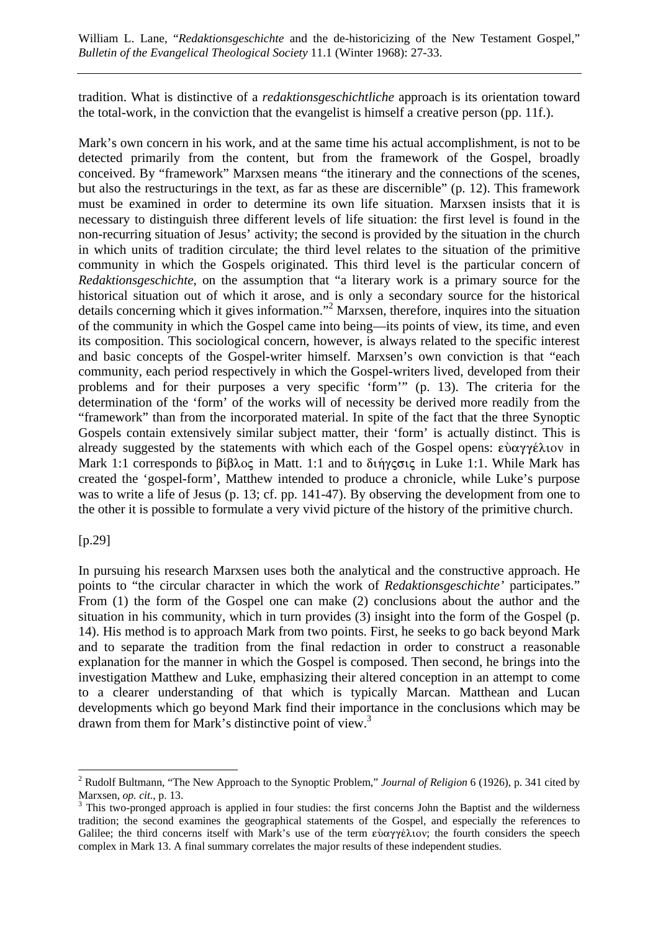tradition. What is distinctive of a *redaktionsgeschichtliche* approach is its orientation toward the total-work, in the conviction that the evangelist is himself a creative person (pp. 11f.).

Mark's own concern in his work, and at the same time his actual accomplishment, is not to be detected primarily from the content, but from the framework of the Gospel, broadly conceived. By "framework" Marxsen means "the itinerary and the connections of the scenes, but also the restructurings in the text, as far as these are discernible" (p. 12). This framework must be examined in order to determine its own life situation. Marxsen insists that it is necessary to distinguish three different levels of life situation: the first level is found in the non-recurring situation of Jesus' activity; the second is provided by the situation in the church in which units of tradition circulate; the third level relates to the situation of the primitive community in which the Gospels originated. This third level is the particular concern of *Redaktionsgeschichte*, on the assumption that "a literary work is a primary source for the historical situation out of which it arose, and is only a secondary source for the historical details concerning which it gives information."<sup>2</sup> Marxsen, therefore, inquires into the situation of the community in which the Gospel came into being—its points of view, its time, and even its composition. This sociological concern, however, is always related to the specific interest and basic concepts of the Gospel-writer himself. Marxsen's own conviction is that "each community, each period respectively in which the Gospel-writers lived, developed from their problems and for their purposes a very specific 'form'" (p. 13). The criteria for the determination of the 'form' of the works will of necessity be derived more readily from the "framework" than from the incorporated material. In spite of the fact that the three Synoptic Gospels contain extensively similar subject matter, their 'form' is actually distinct. This is already suggested by the statements with which each of the Gospel opens:  $\epsilon \dot{\nu} \alpha \gamma \epsilon \lambda$  is in Mark 1:1 corresponds to  $\beta$ ishog in Matt. 1:1 and to  $\delta$ ιήγςσις in Luke 1:1. While Mark has created the 'gospel-form', Matthew intended to produce a chronicle, while Luke's purpose was to write a life of Jesus (p. 13; cf. pp. 141-47). By observing the development from one to the other it is possible to formulate a very vivid picture of the history of the primitive church.

[p.29]

In pursuing his research Marxsen uses both the analytical and the constructive approach. He points to "the circular character in which the work of *Redaktionsgeschichte'* participates." From (1) the form of the Gospel one can make (2) conclusions about the author and the situation in his community, which in turn provides (3) insight into the form of the Gospel (p. 14). His method is to approach Mark from two points. First, he seeks to go back beyond Mark and to separate the tradition from the final redaction in order to construct a reasonable explanation for the manner in which the Gospel is composed. Then second, he brings into the investigation Matthew and Luke, emphasizing their altered conception in an attempt to come to a clearer understanding of that which is typically Marcan. Matthean and Lucan developments which go beyond Mark find their importance in the conclusions which may be drawn from them for Mark's distinctive point of view.<sup>3</sup>

 $\overline{a}$ 2 Rudolf Bultmann, "The New Approach to the Synoptic Problem," *Journal of Religion* 6 (1926), p. 341 cited by Marxsen, *op. cit.*, p. 13.

 $3$  This two-pronged approach is applied in four studies: the first concerns John the Baptist and the wilderness tradition; the second examines the geographical statements of the Gospel, and especially the references to Galilee; the third concerns itself with Mark's use of the term  $\epsilon \dot{\alpha} \gamma \gamma \epsilon \lambda$  tov; the fourth considers the speech complex in Mark 13. A final summary correlates the major results of these independent studies.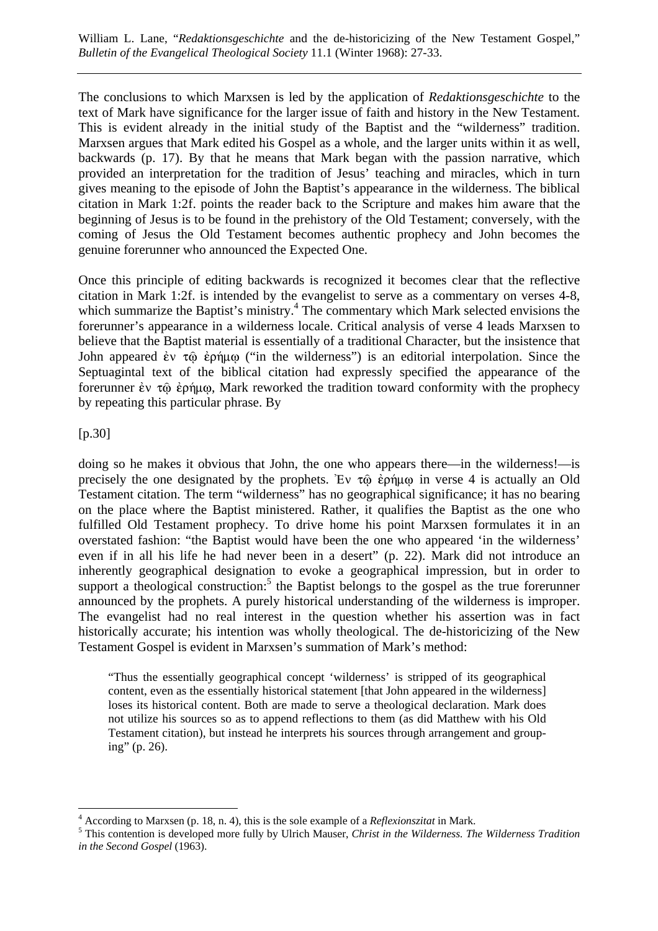The conclusions to which Marxsen is led by the application of *Redaktionsgeschichte* to the text of Mark have significance for the larger issue of faith and history in the New Testament. This is evident already in the initial study of the Baptist and the "wilderness" tradition. Marxsen argues that Mark edited his Gospel as a whole, and the larger units within it as well, backwards (p. 17). By that he means that Mark began with the passion narrative, which provided an interpretation for the tradition of Jesus' teaching and miracles, which in turn gives meaning to the episode of John the Baptist's appearance in the wilderness. The biblical citation in Mark 1:2f. points the reader back to the Scripture and makes him aware that the beginning of Jesus is to be found in the prehistory of the Old Testament; conversely, with the coming of Jesus the Old Testament becomes authentic prophecy and John becomes the genuine forerunner who announced the Expected One.

Once this principle of editing backwards is recognized it becomes clear that the reflective citation in Mark 1:2f. is intended by the evangelist to serve as a commentary on verses 4-8, which summarize the Baptist's ministry.<sup>4</sup> The commentary which Mark selected envisions the forerunner's appearance in a wilderness locale. Critical analysis of verse 4 leads Marxsen to believe that the Baptist material is essentially of a traditional Character, but the insistence that John appeared  $\dot{\epsilon}v \tau \hat{\omega} \dot{\epsilon} \rho \dot{\eta} \mu \omega$  ("in the wilderness") is an editorial interpolation. Since the Septuagintal text of the biblical citation had expressly specified the appearance of the forerunner  $\dot{\epsilon}v \tau \hat{\omega} \dot{\epsilon} \rho \dot{\eta} \mu \omega$ , Mark reworked the tradition toward conformity with the prophecy by repeating this particular phrase. By

[p.30]

 $\overline{a}$ 

doing so he makes it obvious that John, the one who appears there—in the wilderness!—is precisely the one designated by the prophets. 'Ev  $\tau \hat{\omega}$  έρήμ $\omega$  in verse 4 is actually an Old Testament citation. The term "wilderness" has no geographical significance; it has no bearing on the place where the Baptist ministered. Rather, it qualifies the Baptist as the one who fulfilled Old Testament prophecy. To drive home his point Marxsen formulates it in an overstated fashion: "the Baptist would have been the one who appeared 'in the wilderness' even if in all his life he had never been in a desert" (p. 22). Mark did not introduce an inherently geographical designation to evoke a geographical impression, but in order to support a theological construction:<sup>5</sup> the Baptist belongs to the gospel as the true forerunner announced by the prophets. A purely historical understanding of the wilderness is improper. The evangelist had no real interest in the question whether his assertion was in fact historically accurate; his intention was wholly theological. The de-historicizing of the New Testament Gospel is evident in Marxsen's summation of Mark's method:

"Thus the essentially geographical concept 'wilderness' is stripped of its geographical content, even as the essentially historical statement [that John appeared in the wilderness] loses its historical content. Both are made to serve a theological declaration. Mark does not utilize his sources so as to append reflections to them (as did Matthew with his Old Testament citation), but instead he interprets his sources through arrangement and grouping" (p. 26).

<sup>&</sup>lt;sup>4</sup> According to Marxsen (p. 18, n. 4), this is the sole example of a *Reflexionszitat* in Mark.

This contention is developed more fully by Ulrich Mauser, *Christ in the Wilderness. The Wilderness Tradition in the Second Gospel* (1963).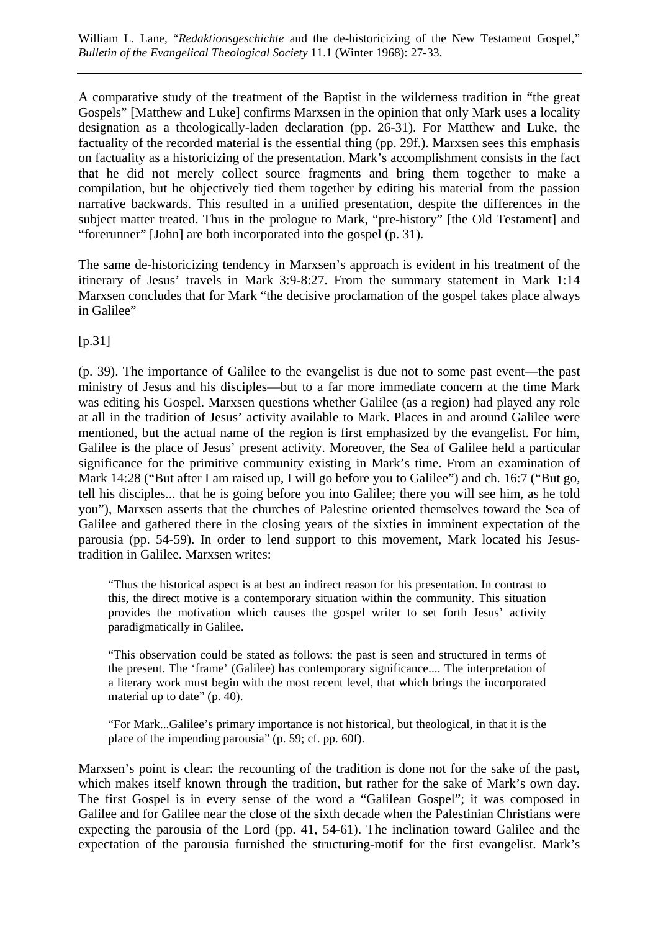A comparative study of the treatment of the Baptist in the wilderness tradition in "the great Gospels" [Matthew and Luke] confirms Marxsen in the opinion that only Mark uses a locality designation as a theologically-laden declaration (pp. 26-31). For Matthew and Luke, the factuality of the recorded material is the essential thing (pp. 29f.). Marxsen sees this emphasis on factuality as a historicizing of the presentation. Mark's accomplishment consists in the fact that he did not merely collect source fragments and bring them together to make a compilation, but he objectively tied them together by editing his material from the passion narrative backwards. This resulted in a unified presentation, despite the differences in the subject matter treated. Thus in the prologue to Mark, "pre-history" [the Old Testament] and "forerunner" [John] are both incorporated into the gospel (p. 31).

The same de-historicizing tendency in Marxsen's approach is evident in his treatment of the itinerary of Jesus' travels in Mark 3:9-8:27. From the summary statement in Mark 1:14 Marxsen concludes that for Mark "the decisive proclamation of the gospel takes place always in Galilee"

[p.31]

(p. 39). The importance of Galilee to the evangelist is due not to some past event—the past ministry of Jesus and his disciples—but to a far more immediate concern at the time Mark was editing his Gospel. Marxsen questions whether Galilee (as a region) had played any role at all in the tradition of Jesus' activity available to Mark. Places in and around Galilee were mentioned, but the actual name of the region is first emphasized by the evangelist. For him, Galilee is the place of Jesus' present activity. Moreover, the Sea of Galilee held a particular significance for the primitive community existing in Mark's time. From an examination of Mark 14:28 ("But after I am raised up, I will go before you to Galilee") and ch. 16:7 ("But go, tell his disciples... that he is going before you into Galilee; there you will see him, as he told you"), Marxsen asserts that the churches of Palestine oriented themselves toward the Sea of Galilee and gathered there in the closing years of the sixties in imminent expectation of the parousia (pp. 54-59). In order to lend support to this movement, Mark located his Jesustradition in Galilee. Marxsen writes:

"Thus the historical aspect is at best an indirect reason for his presentation. In contrast to this, the direct motive is a contemporary situation within the community. This situation provides the motivation which causes the gospel writer to set forth Jesus' activity paradigmatically in Galilee.

"This observation could be stated as follows: the past is seen and structured in terms of the present. The 'frame' (Galilee) has contemporary significance.... The interpretation of a literary work must begin with the most recent level, that which brings the incorporated material up to date" (p. 40).

"For Mark...Galilee's primary importance is not historical, but theological, in that it is the place of the impending parousia" (p. 59; cf. pp. 60f).

Marxsen's point is clear: the recounting of the tradition is done not for the sake of the past, which makes itself known through the tradition, but rather for the sake of Mark's own day. The first Gospel is in every sense of the word a "Galilean Gospel"; it was composed in Galilee and for Galilee near the close of the sixth decade when the Palestinian Christians were expecting the parousia of the Lord (pp. 41, 54-61). The inclination toward Galilee and the expectation of the parousia furnished the structuring-motif for the first evangelist. Mark's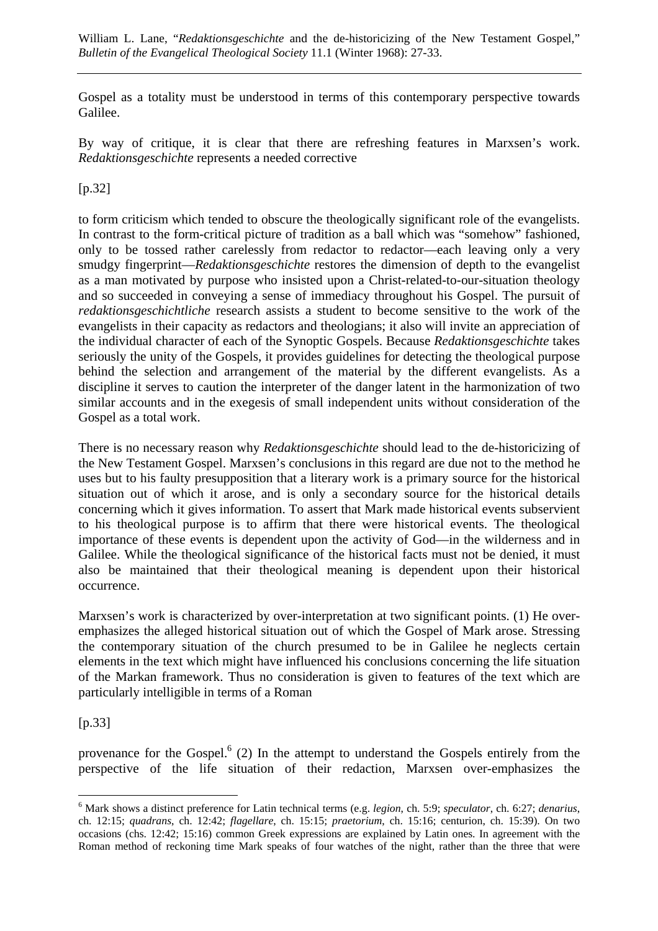Gospel as a totality must be understood in terms of this contemporary perspective towards Galilee.

By way of critique, it is clear that there are refreshing features in Marxsen's work. *Redaktionsgeschichte* represents a needed corrective

 $[p.32]$ 

to form criticism which tended to obscure the theologically significant role of the evangelists. In contrast to the form-critical picture of tradition as a ball which was "somehow" fashioned, only to be tossed rather carelessly from redactor to redactor—each leaving only a very smudgy fingerprint—*Redaktionsgeschichte* restores the dimension of depth to the evangelist as a man motivated by purpose who insisted upon a Christ-related-to-our-situation theology and so succeeded in conveying a sense of immediacy throughout his Gospel. The pursuit of *redaktionsgeschichtliche* research assists a student to become sensitive to the work of the evangelists in their capacity as redactors and theologians; it also will invite an appreciation of the individual character of each of the Synoptic Gospels. Because *Redaktionsgeschichte* takes seriously the unity of the Gospels, it provides guidelines for detecting the theological purpose behind the selection and arrangement of the material by the different evangelists. As a discipline it serves to caution the interpreter of the danger latent in the harmonization of two similar accounts and in the exegesis of small independent units without consideration of the Gospel as a total work.

There is no necessary reason why *Redaktionsgeschichte* should lead to the de-historicizing of the New Testament Gospel. Marxsen's conclusions in this regard are due not to the method he uses but to his faulty presupposition that a literary work is a primary source for the historical situation out of which it arose, and is only a secondary source for the historical details concerning which it gives information. To assert that Mark made historical events subservient to his theological purpose is to affirm that there were historical events. The theological importance of these events is dependent upon the activity of God—in the wilderness and in Galilee. While the theological significance of the historical facts must not be denied, it must also be maintained that their theological meaning is dependent upon their historical occurrence.

Marxsen's work is characterized by over-interpretation at two significant points. (1) He overemphasizes the alleged historical situation out of which the Gospel of Mark arose. Stressing the contemporary situation of the church presumed to be in Galilee he neglects certain elements in the text which might have influenced his conclusions concerning the life situation of the Markan framework. Thus no consideration is given to features of the text which are particularly intelligible in terms of a Roman

[p.33]

 $\overline{a}$ 

provenance for the Gospel. $<sup>6</sup>$  (2) In the attempt to understand the Gospels entirely from the</sup> perspective of the life situation of their redaction, Marxsen over-emphasizes the

<sup>6</sup> Mark shows a distinct preference for Latin technical terms (e.g. *legion*, ch. 5:9; *speculator*, ch. 6:27; *denarius*, ch. 12:15; *quadrans*, ch. 12:42; *flagellare*, ch. 15:15; *praetorium*, ch. 15:16; centurion, ch. 15:39). On two occasions (chs. 12:42; 15:16) common Greek expressions are explained by Latin ones. In agreement with the Roman method of reckoning time Mark speaks of four watches of the night, rather than the three that were